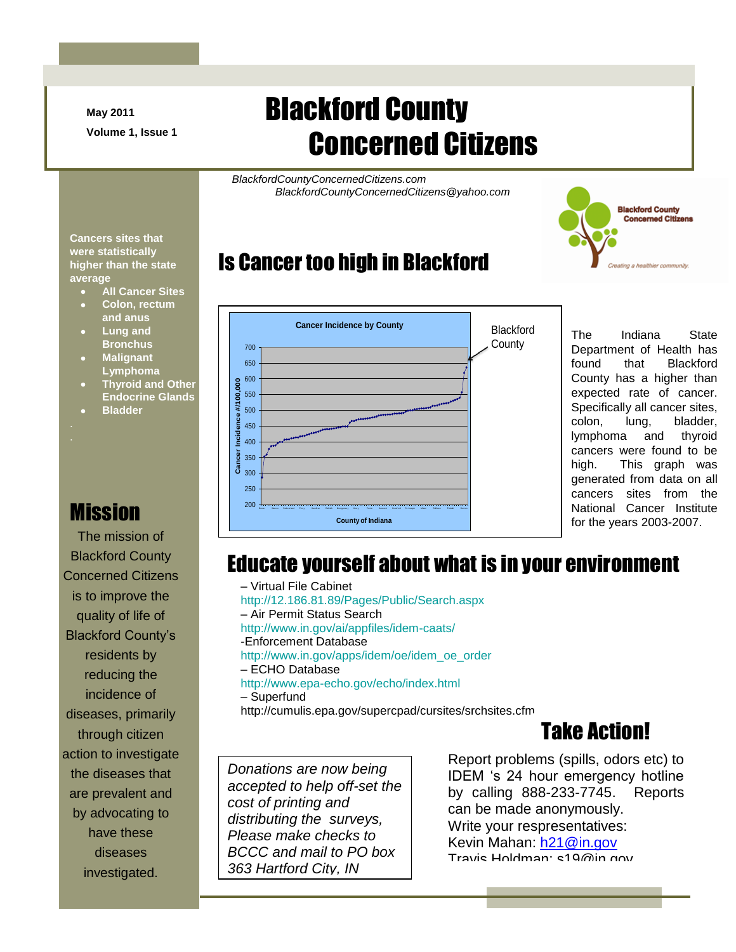**May 2011 Volume 1, Issue 1**

# Blackford County Concerned Citizens

*BlackfordCountyConcernedCitizens.com BlackfordCountyConcernedCitizens@yahoo.com*



# Is Cancer too high in Blackford



The Indiana State Department of Health has found that Blackford County has a higher than expected rate of cancer. Specifically all cancer sites, colon, lung, bladder, lymphoma and thyroid cancers were found to be high. This graph was generated from data on all cancers sites from the National Cancer Institute for the years 2003-2007.

#### Educate yourself about what is in your environment

– Virtual File Cabinet http://12.186.81.89/Pages/Public/Search.aspx – Air Permit Status Search http://www.in.gov/ai/appfiles/idem-caats/ -Enforcement Database http://www.in.gov/apps/idem/oe/idem\_oe\_order – ECHO Database http://www.epa-echo.gov/echo/index.html – Superfund

http://cumulis.epa.gov/supercpad/cursites/srchsites.cfm

## Take Action!

*Donations are now being accepted to help off-set the cost of printing and distributing the surveys, Please make checks to BCCC and mail to PO box 363 Hartford City, IN* 

*45248*

Report problems (spills, odors etc) to IDEM 's 24 hour emergency hotline by calling 888-233-7745. Reports can be made anonymously. Write your respresentatives: Kevin Mahan: [h21@in.gov](mailto:h21@in.gov) Travis Holdman: s19@in.gov

**Cancers sites that were statistically higher than the state average**

- **All Cancer Sites**
- **Colon, rectum and anus**
- **Lung and Bronchus**
- **Malignant Lymphoma**
- **Thyroid and Other Endocrine Glands**
- **Bladder**

# **Mission**

The mission of Blackford County Concerned Citizens is to improve the quality of life of Blackford County's residents by reducing the incidence of diseases, primarily through citizen action to investigate the diseases that are prevalent and by advocating to have these diseases investigated.